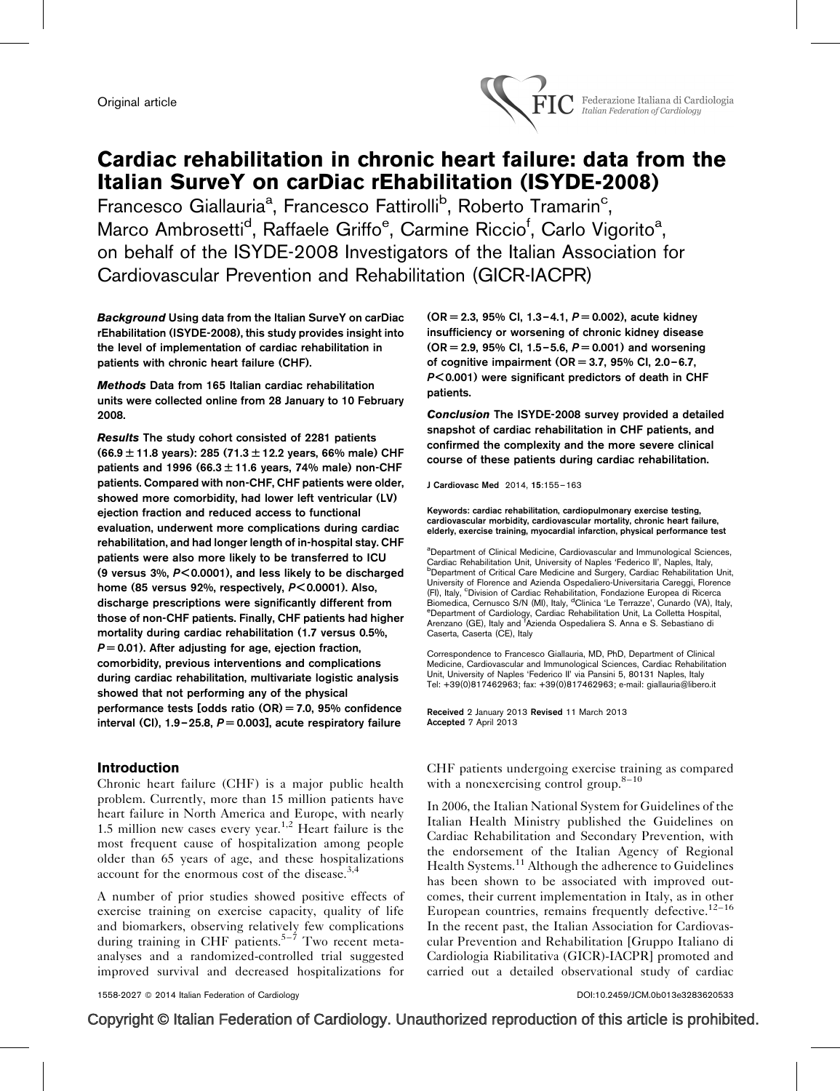

# Cardiac rehabilitation in chronic heart failure: data from the Italian SurveY on carDiac rEhabilitation (ISYDE-2008)

Francesco Giallauria<sup>a</sup>, Francesco Fattirolli<sup>b</sup>, Roberto Tramarin<sup>c</sup>, Marco Ambrosetti<sup>d</sup>, Raffaele Griffo<sup>e</sup>, Carmine Riccio<sup>f</sup>, Carlo Vigorito<sup>a</sup>, on behalf of the ISYDE-2008 Investigators of the Italian Association for Cardiovascular Prevention and Rehabilitation (GICR-IACPR)

Background Using data from the Italian SurveY on carDiac rEhabilitation (ISYDE-2008), this study provides insight into the level of implementation of cardiac rehabilitation in patients with chronic heart failure (CHF).

Methods Data from 165 Italian cardiac rehabilitation units were collected online from 28 January to 10 February 2008.

Results The study cohort consisted of 2281 patients  $(66.9 \pm 11.8 \text{ years})$ : 285 (71.3  $\pm$  12.2 years, 66% male) CHF patients and 1996 (66.3  $\pm$  11.6 years, 74% male) non-CHF patients. Compared with non-CHF, CHF patients were older, showed more comorbidity, had lower left ventricular (LV) ejection fraction and reduced access to functional evaluation, underwent more complications during cardiac rehabilitation, and had longer length of in-hospital stay. CHF patients were also more likely to be transferred to ICU (9 versus 3%, P< 0.0001), and less likely to be discharged home (85 versus 92%, respectively, P< 0.0001). Also, discharge prescriptions were significantly different from those of non-CHF patients. Finally, CHF patients had higher mortality during cardiac rehabilitation (1.7 versus 0.5%,  $P = 0.01$ ). After adjusting for age, ejection fraction, comorbidity, previous interventions and complications during cardiac rehabilitation, multivariate logistic analysis showed that not performing any of the physical performance tests [odds ratio  $(OR) = 7.0$ , 95% confidence interval (CI),  $1.9-25.8$ ,  $P = 0.003$ ], acute respiratory failure

## Introduction

Chronic heart failure (CHF) is a major public health problem. Currently, more than 15 million patients have heart failure in North America and Europe, with nearly 1.5 million new cases every year.<sup>[1,2](#page-8-0)</sup> Heart failure is the most frequent cause of hospitalization among people older than 65 years of age, and these hospitalizations account for the enormous cost of the disease.[3,4](#page-8-0)

A number of prior studies showed positive effects of exercise training on exercise capacity, quality of life and biomarkers, observing relatively few complications during training in CHF patients.<sup>[5–7](#page-8-0)</sup> Two recent metaanalyses and a randomized-controlled trial suggested improved survival and decreased hospitalizations for

 $OR = 2.3$ , 95% CI, 1.3–4.1,  $P = 0.002$ ), acute kidney insufficiency or worsening of chronic kidney disease  $(OR = 2.9, 95\% \text{ Cl}, 1.5-5.6, P = 0.001)$  and worsening of cognitive impairment (OR = 3.7, 95% CI, 2.0-6.7, P< 0.001) were significant predictors of death in CHF patients.

Conclusion The ISYDE-2008 survey provided a detailed snapshot of cardiac rehabilitation in CHF patients, and confirmed the complexity and the more severe clinical course of these patients during cardiac rehabilitation.

J Cardiovasc Med 2014, 15:155–163

Keywords: cardiac rehabilitation, cardiopulmonary exercise testing, cardiovascular morbidity, cardiovascular mortality, chronic heart failure, elderly, exercise training, myocardial infarction, physical performance test

<sup>a</sup>Department of Clinical Medicine, Cardiovascular and Immunological Sciences, Cardiac Rehabilitation Unit, University of Naples 'Federico II', Naples, Italy, <sup>b</sup>Department of Critical Care Medicine and Surgery, Cardiac Rehabilitation Unit, University of Florence and Azienda Ospedaliero-Universitaria Careggi, Florence (FI), Italy, <sup>c</sup>Division of Cardiac Rehabilitation, Fondazione Europea di Ricerca Biomedica, Cernusco S/N (MI), Italy, <sup>d</sup>Clinica 'Le Terrazze', Cunardo (VA), Italy, Biomedica, Cernusco S/N (MI), Italy, <sup>a</sup>Clinica 'Le Terrazze', Cunardo (VA), Italy,<br><sup>e</sup>Department of Cardiology, Cardiac Rehabilitation Unit, La Colletta Hospital,<br>Arenzano (GE), Italy and <sup>†</sup>Azienda Ospedaliera S. Anna e Caserta, Caserta (CE), Italy

Correspondence to Francesco Giallauria, MD, PhD, Department of Clinical Medicine, Cardiovascular and Immunological Sciences, Cardiac Rehabilitation Unit, University of Naples 'Federico II' via Pansini 5, 80131 Naples, Italy Tel: +39(0)817462963; fax: +39(0)817462963; e-mail: [giallauria@libero.it](mailto:giallauria@libero.it)

Received 2 January 2013 Revised 11 March 2013 Accepted 7 April 2013

CHF patients undergoing exercise training as compared with a nonexercising control group. $8-10$ 

In 2006, the Italian National System for Guidelines of the Italian Health Ministry published the Guidelines on Cardiac Rehabilitation and Secondary Prevention, with the endorsement of the Italian Agency of Regional Health Systems.<sup>[11](#page-8-0)</sup> Although the adherence to Guidelines has been shown to be associated with improved outcomes, their current implementation in Italy, as in other European countries, remains frequently defective.<sup>[12–16](#page-8-0)</sup> In the recent past, the Italian Association for Cardiovascular Prevention and Rehabilitation [Gruppo Italiano di Cardiologia Riabilitativa (GICR)-IACPR] promoted and carried out a detailed observational study of cardiac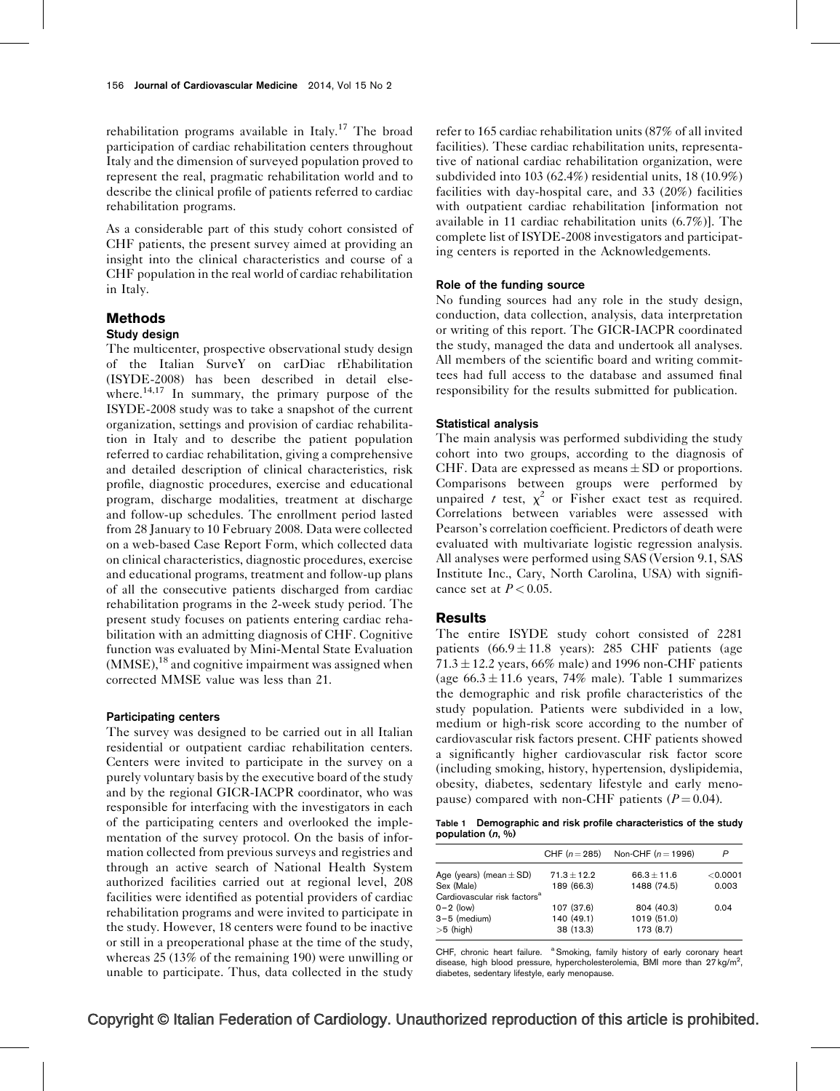rehabilitation programs available in Italy.<sup>[17](#page-8-0)</sup> The broad participation of cardiac rehabilitation centers throughout Italy and the dimension of surveyed population proved to represent the real, pragmatic rehabilitation world and to describe the clinical profile of patients referred to cardiac rehabilitation programs.

As a considerable part of this study cohort consisted of CHF patients, the present survey aimed at providing an insight into the clinical characteristics and course of a CHF population in the real world of cardiac rehabilitation in Italy.

## **Methods**

#### Study design

The multicenter, prospective observational study design of the Italian SurveY on carDiac rEhabilitation (ISYDE-2008) has been described in detail else-where.<sup>[14,17](#page-8-0)</sup> In summary, the primary purpose of the ISYDE-2008 study was to take a snapshot of the current organization, settings and provision of cardiac rehabilitation in Italy and to describe the patient population referred to cardiac rehabilitation, giving a comprehensive and detailed description of clinical characteristics, risk profile, diagnostic procedures, exercise and educational program, discharge modalities, treatment at discharge and follow-up schedules. The enrollment period lasted from 28 January to 10 February 2008. Data were collected on a web-based Case Report Form, which collected data on clinical characteristics, diagnostic procedures, exercise and educational programs, treatment and follow-up plans of all the consecutive patients discharged from cardiac rehabilitation programs in the 2-week study period. The present study focuses on patients entering cardiac rehabilitation with an admitting diagnosis of CHF. Cognitive function was evaluated by Mini-Mental State Evaluation  $(MMSE)$ ,<sup>[18](#page-8-0)</sup> and cognitive impairment was assigned when corrected MMSE value was less than 21.

#### Participating centers

The survey was designed to be carried out in all Italian residential or outpatient cardiac rehabilitation centers. Centers were invited to participate in the survey on a purely voluntary basis by the executive board of the study and by the regional GICR-IACPR coordinator, who was responsible for interfacing with the investigators in each of the participating centers and overlooked the implementation of the survey protocol. On the basis of information collected from previous surveys and registries and through an active search of National Health System authorized facilities carried out at regional level, 208 facilities were identified as potential providers of cardiac rehabilitation programs and were invited to participate in the study. However, 18 centers were found to be inactive or still in a preoperational phase at the time of the study, whereas 25 (13% of the remaining 190) were unwilling or unable to participate. Thus, data collected in the study refer to 165 cardiac rehabilitation units (87% of all invited facilities). These cardiac rehabilitation units, representative of national cardiac rehabilitation organization, were subdivided into 103 (62.4%) residential units, 18 (10.9%) facilities with day-hospital care, and 33 (20%) facilities with outpatient cardiac rehabilitation [information not available in 11 cardiac rehabilitation units (6.7%)]. The complete list of ISYDE-2008 investigators and participating centers is reported in the Acknowledgements.

#### Role of the funding source

No funding sources had any role in the study design, conduction, data collection, analysis, data interpretation or writing of this report. The GICR-IACPR coordinated the study, managed the data and undertook all analyses. All members of the scientific board and writing committees had full access to the database and assumed final responsibility for the results submitted for publication.

#### Statistical analysis

The main analysis was performed subdividing the study cohort into two groups, according to the diagnosis of CHF. Data are expressed as means  $\pm$  SD or proportions. Comparisons between groups were performed by unpaired t test,  $\chi^2$  or Fisher exact test as required. Correlations between variables were assessed with Pearson's correlation coefficient. Predictors of death were evaluated with multivariate logistic regression analysis. All analyses were performed using SAS (Version 9.1, SAS Institute Inc., Cary, North Carolina, USA) with significance set at  $P < 0.05$ .

## Results

The entire ISYDE study cohort consisted of 2281 patients  $(66.9 \pm 11.8 \text{ years})$ : 285 CHF patients (age  $71.3 \pm 12.2$  years, 66% male) and 1996 non-CHF patients (age  $66.3 \pm 11.6$  years, 74% male). Table 1 summarizes the demographic and risk profile characteristics of the study population. Patients were subdivided in a low, medium or high-risk score according to the number of cardiovascular risk factors present. CHF patients showed a significantly higher cardiovascular risk factor score (including smoking, history, hypertension, dyslipidemia, obesity, diabetes, sedentary lifestyle and early menopause) compared with non-CHF patients ( $P = 0.04$ ).

| Table 1 |                            |  | Demographic and risk profile characteristics of the study |  |
|---------|----------------------------|--|-----------------------------------------------------------|--|
|         | population ( <i>n</i> , %) |  |                                                           |  |

|                                          | CHF $(n = 285)$ | Non-CHF $(n = 1996)$ | P          |
|------------------------------------------|-----------------|----------------------|------------|
| Age (years) (mean $\pm$ SD)              | $71.3 + 12.2$   | $66.3 + 11.6$        | $<$ 0.0001 |
| Sex (Male)                               | 189 (66.3)      | 1488 (74.5)          | 0.003      |
| Cardiovascular risk factors <sup>a</sup> |                 |                      |            |
| $0-2$ (low)                              | 107 (37.6)      | 804 (40.3)           | 0.04       |
| 3-5 (medium)                             | 140 (49.1)      | 1019 (51.0)          |            |
| $>5$ (high)                              | 38 (13.3)       | 173 (8.7)            |            |

CHF, chronic heart failure. <sup>a</sup> Smoking, family history of early coronary heart disease, high blood pressure, hypercholesterolemia, BMI more than 27 kg/m<sup>2</sup>, diabetes, sedentary lifestyle, early menopause.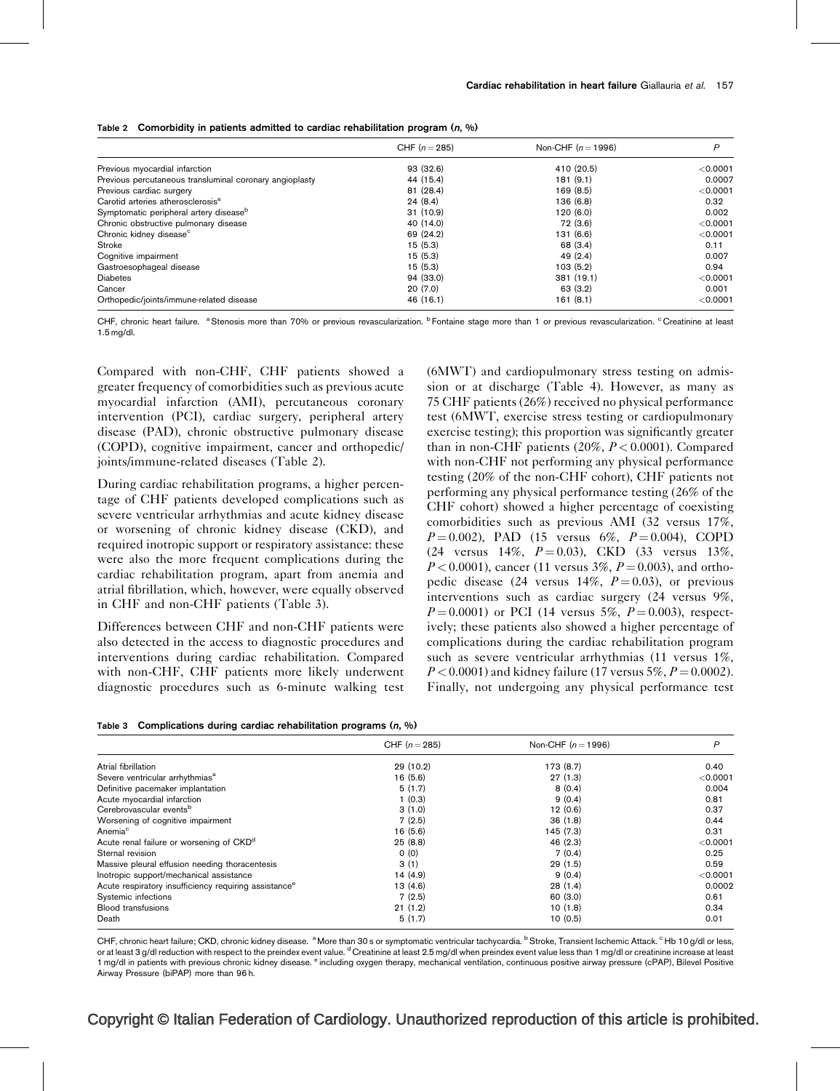|  | Table 2 Comorbidity in patients admitted to cardiac rehabilitation program $(n, \%)$ |  |  |  |  |  |  |  |
|--|--------------------------------------------------------------------------------------|--|--|--|--|--|--|--|
|--|--------------------------------------------------------------------------------------|--|--|--|--|--|--|--|

|                                                         | CHF $(n = 285)$ | Non-CHF $(n=1996)$ | P        |
|---------------------------------------------------------|-----------------|--------------------|----------|
| Previous myocardial infarction                          | 93 (32.6)       | 410 (20.5)         | < 0.0001 |
| Previous percutaneous transluminal coronary angioplasty | 44 (15.4)       | 181(9.1)           | 0.0007   |
| Previous cardiac surgery                                | 81 (28.4)       | 169 (8.5)          | < 0.0001 |
| Carotid arteries atherosclerosis <sup>a</sup>           | 24(8.4)         | 136 (6.8)          | 0.32     |
| Symptomatic peripheral artery disease <sup>b</sup>      | 31(10.9)        | 120(6.0)           | 0.002    |
| Chronic obstructive pulmonary disease                   | 40 (14.0)       | 72(3.6)            | < 0.0001 |
| Chronic kidney disease <sup>c</sup>                     | 69 (24.2)       | 131(6.6)           | < 0.0001 |
| Stroke                                                  | 15(5.3)         | 68 (3.4)           | 0.11     |
| Cognitive impairment                                    | 15(5.3)         | 49(2.4)            | 0.007    |
| Gastroesophageal disease                                | 15(5.3)         | 103(5.2)           | 0.94     |
| <b>Diabetes</b>                                         | 94 (33.0)       | 381 (19.1)         | < 0.0001 |
| Cancer                                                  | 20(7.0)         | 63 (3.2)           | 0.001    |
| Orthopedic/joints/immune-related disease                | 46 (16.1)       | 161(8.1)           | < 0.0001 |

CHF, chronic heart failure. <sup>a</sup> Stenosis more than 70% or previous revascularization. <sup>b</sup> Fontaine stage more than 1 or previous revascularization. Creatinine at least 1.5 mg/dl.

Compared with non-CHF, CHF patients showed a greater frequency of comorbidities such as previous acute myocardial infarction (AMI), percutaneous coronary intervention (PCI), cardiac surgery, peripheral artery disease (PAD), chronic obstructive pulmonary disease (COPD), cognitive impairment, cancer and orthopedic/ joints/immune-related diseases (Table 2).

During cardiac rehabilitation programs, a higher percentage of CHF patients developed complications such as severe ventricular arrhythmias and acute kidney disease or worsening of chronic kidney disease (CKD), and required inotropic support or respiratory assistance: these were also the more frequent complications during the cardiac rehabilitation program, apart from anemia and atrial fibrillation, which, however, were equally observed in CHF and non-CHF patients (Table 3).

Differences between CHF and non-CHF patients were also detected in the access to diagnostic procedures and interventions during cardiac rehabilitation. Compared with non-CHF, CHF patients more likely underwent diagnostic procedures such as 6-minute walking test

(6MWT) and cardiopulmonary stress testing on admission or at discharge [\(Table 4\)](#page-3-0). However, as many as 75 CHF patients (26%) received no physical performance test (6MWT, exercise stress testing or cardiopulmonary exercise testing); this proportion was significantly greater than in non-CHF patients  $(20\%, P < 0.0001)$ . Compared with non-CHF not performing any physical performance testing (20% of the non-CHF cohort), CHF patients not performing any physical performance testing (26% of the CHF cohort) showed a higher percentage of coexisting comorbidities such as previous AMI (32 versus 17%,  $P = 0.002$ ), PAD (15 versus 6%,  $P = 0.004$ ), COPD  $(24 \text{ versus } 14\%, P = 0.03), \text{ CKD}$  (33 versus 13%,  $P < 0.0001$ ), cancer (11 versus 3%,  $P = 0.003$ ), and orthopedic disease (24 versus 14%,  $P = 0.03$ ), or previous interventions such as cardiac surgery (24 versus 9%,  $P = 0.0001$  or PCI (14 versus 5%,  $P = 0.003$ ), respectively; these patients also showed a higher percentage of complications during the cardiac rehabilitation program such as severe ventricular arrhythmias (11 versus 1%,  $P < 0.0001$  and kidney failure (17 versus 5%,  $P = 0.0002$ ). Finally, not undergoing any physical performance test

|  | Table 3 Complications during cardiac rehabilitation programs $(n, \%)$ |  |  |  |  |  |  |
|--|------------------------------------------------------------------------|--|--|--|--|--|--|
|--|------------------------------------------------------------------------|--|--|--|--|--|--|

|                                                                   | CHF $(n = 285)$ | Non-CHF $(n = 1996)$ | P        |
|-------------------------------------------------------------------|-----------------|----------------------|----------|
| Atrial fibrillation                                               | 29 (10.2)       | 173 (8.7)            | 0.40     |
| Severe ventricular arrhythmias <sup>a</sup>                       | 16(5.6)         | 27(1.3)              | < 0.0001 |
| Definitive pacemaker implantation                                 | 5(1.7)          | 8(0.4)               | 0.004    |
| Acute myocardial infarction                                       | 1(0.3)          | 9(0.4)               | 0.81     |
| Cerebrovascular events <sup>b</sup>                               | 3(1.0)          | 12(0.6)              | 0.37     |
| Worsening of cognitive impairment                                 | 7(2.5)          | 36(1.8)              | 0.44     |
| Anemia <sup>c</sup>                                               | 16(5.6)         | 145 (7.3)            | 0.31     |
| Acute renal failure or worsening of CKD <sup>d</sup>              | 25(8.8)         | 46(2.3)              | < 0.0001 |
| Sternal revision                                                  | 0(0)            | 7(0.4)               | 0.25     |
| Massive pleural effusion needing thoracentesis                    | 3(1)            | 29(1.5)              | 0.59     |
| Inotropic support/mechanical assistance                           | 14(4.9)         | 9(0.4)               | < 0.0001 |
| Acute respiratory insufficiency requiring assistance <sup>e</sup> | 13(4.6)         | 28(1.4)              | 0.0002   |
| Systemic infections                                               | 7(2.5)          | 60 (3.0)             | 0.61     |
| <b>Blood transfusions</b>                                         | 21(1.2)         | 10(1.8)              | 0.34     |
| Death                                                             | 5(1.7)          | 10(0.5)              | 0.01     |

CHF, chronic heart failure; CKD, chronic kidney disease. <sup>a</sup> More than 30 s or symptomatic ventricular tachycardia. <sup>b</sup> Stroke, Transient Ischemic Attack. <sup>c</sup> Hb 10 g/dl or less, or at least 3 g/dl reduction with respect to the preindex event value. <sup>d</sup> Creatinine at least 2.5 mg/dl when preindex event value less than 1 mg/dl or creatinine increase at least 1 mg/dl in patients with previous chronic kidney disease. <sup>e</sup> including oxygen therapy, mechanical ventilation, continuous positive airway pressure (cPAP), Bilevel Positive Airway Pressure (biPAP) more than 96 h.

# Copyright © Italian Federation of Cardiology. Unauthorized reproduction of this article is prohibited.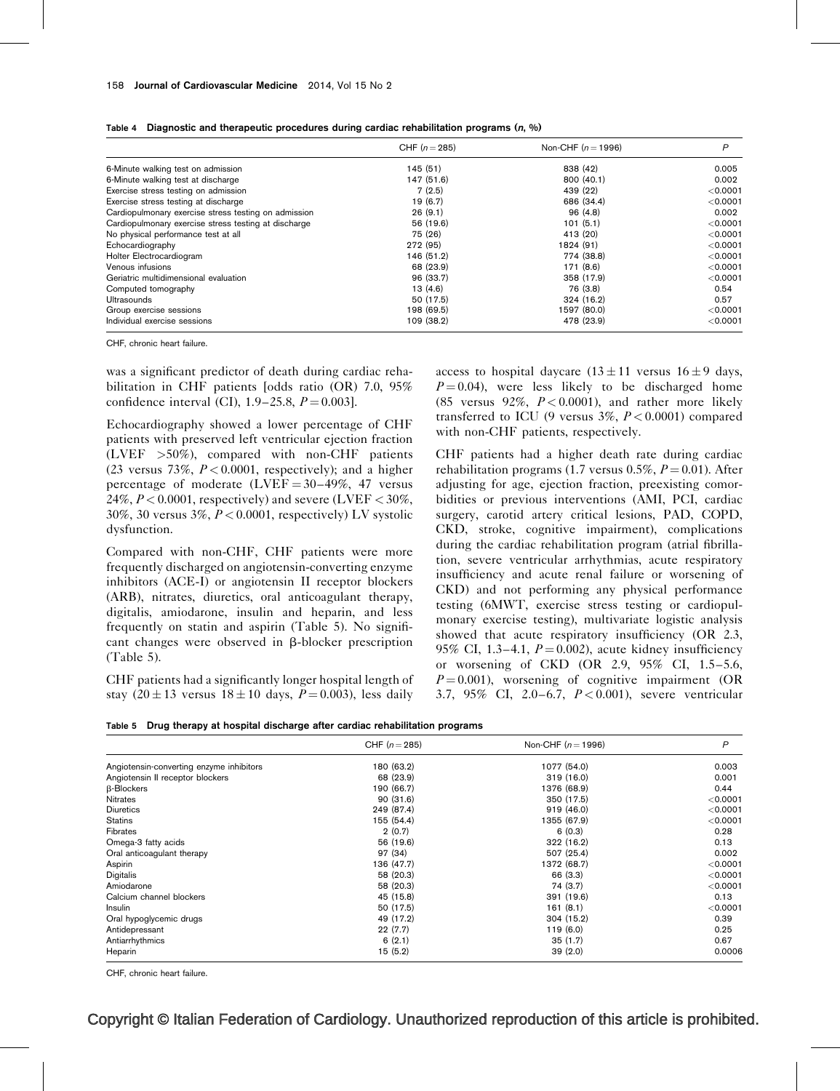<span id="page-3-0"></span>

|  |  |  |  | Table 4 Diagnostic and therapeutic procedures during cardiac rehabilitation programs $(n, \, \%)$ |  |  |
|--|--|--|--|---------------------------------------------------------------------------------------------------|--|--|
|--|--|--|--|---------------------------------------------------------------------------------------------------|--|--|

|                                                      | CHF $(n = 285)$ | Non-CHF $(n = 1996)$ | P        |
|------------------------------------------------------|-----------------|----------------------|----------|
| 6-Minute walking test on admission                   | 145(51)         | 838 (42)             | 0.005    |
| 6-Minute walking test at discharge                   | 147 (51.6)      | 800 (40.1)           | 0.002    |
| Exercise stress testing on admission                 | 7(2.5)          | 439 (22)             | < 0.0001 |
| Exercise stress testing at discharge                 | 19 (6.7)        | 686 (34.4)           | < 0.0001 |
| Cardiopulmonary exercise stress testing on admission | 26(9.1)         | 96(4.8)              | 0.002    |
| Cardiopulmonary exercise stress testing at discharge | 56 (19.6)       | 101(5.1)             | < 0.0001 |
| No physical performance test at all                  | 75 (26)         | 413 (20)             | < 0.0001 |
| Echocardiography                                     | 272 (95)        | 1824 (91)            | < 0.0001 |
| Holter Electrocardiogram                             | 146 (51.2)      | 774 (38.8)           | < 0.0001 |
| Venous infusions                                     | 68 (23.9)       | 171 (8.6)            | < 0.0001 |
| Geriatric multidimensional evaluation                | 96 (33.7)       | 358 (17.9)           | < 0.0001 |
| Computed tomography                                  | 13(4.6)         | 76 (3.8)             | 0.54     |
| <b>Ultrasounds</b>                                   | 50 (17.5)       | 324 (16.2)           | 0.57     |
| Group exercise sessions                              | 198 (69.5)      | 1597 (80.0)          | < 0.0001 |
| Individual exercise sessions                         | 109 (38.2)      | 478 (23.9)           | < 0.0001 |

CHE, chronic heart failure.

was a significant predictor of death during cardiac rehabilitation in CHF patients [odds ratio (OR) 7.0, 95% confidence interval (CI),  $1.9-25.8$ ,  $P = 0.003$ ].

Echocardiography showed a lower percentage of CHF patients with preserved left ventricular ejection fraction  $(LVEF > 50\%)$ , compared with non-CHF patients (23 versus 73%,  $P < 0.0001$ , respectively); and a higher percentage of moderate  $(LVEF = 30-49\%, 47$  versus 24%,  $P < 0.0001$ , respectively) and severe (LVEF  $< 30\%$ , 30%, 30 versus  $3\%$ ,  $P < 0.0001$ , respectively) LV systolic dysfunction.

Compared with non-CHF, CHF patients were more frequently discharged on angiotensin-converting enzyme inhibitors (ACE-I) or angiotensin II receptor blockers (ARB), nitrates, diuretics, oral anticoagulant therapy, digitalis, amiodarone, insulin and heparin, and less frequently on statin and aspirin (Table 5). No significant changes were observed in  $\beta$ -blocker prescription (Table 5).

CHF patients had a significantly longer hospital length of stay (20  $\pm$  13 versus 18  $\pm$  10 days, P = 0.003), less daily access to hospital daycare  $(13 \pm 11)$  versus  $16 \pm 9$  days,  $P = 0.04$ , were less likely to be discharged home (85 versus 92%,  $P < 0.0001$ ), and rather more likely transferred to ICU (9 versus  $3\%$ ,  $P < 0.0001$ ) compared with non-CHF patients, respectively.

CHF patients had a higher death rate during cardiac rehabilitation programs (1.7 versus 0.5%,  $P = 0.01$ ). After adjusting for age, ejection fraction, preexisting comorbidities or previous interventions (AMI, PCI, cardiac surgery, carotid artery critical lesions, PAD, COPD, CKD, stroke, cognitive impairment), complications during the cardiac rehabilitation program (atrial fibrillation, severe ventricular arrhythmias, acute respiratory insufficiency and acute renal failure or worsening of CKD) and not performing any physical performance testing (6MWT, exercise stress testing or cardiopulmonary exercise testing), multivariate logistic analysis showed that acute respiratory insufficiency (OR 2.3, 95% CI, 1.3–4.1,  $P = 0.002$ ), acute kidney insufficiency or worsening of CKD (OR 2.9, 95% CI, 1.5–5.6,  $P = 0.001$ ), worsening of cognitive impairment (OR 3.7, 95% CI, 2.0-6.7, P < 0.001), severe ventricular

Table 5 Drug therapy at hospital discharge after cardiac rehabilitation programs

|                                          | CHF $(n = 285)$ | Non-CHF $(n = 1996)$ | P          |
|------------------------------------------|-----------------|----------------------|------------|
| Angiotensin-converting enzyme inhibitors | 180 (63.2)      | 1077 (54.0)          | 0.003      |
| Angiotensin II receptor blockers         | 68 (23.9)       | 319(16.0)            | 0.001      |
| <b>B-Blockers</b>                        | 190 (66.7)      | 1376 (68.9)          | 0.44       |
| Nitrates                                 | 90(31.6)        | 350 (17.5)           | < 0.0001   |
| <b>Diuretics</b>                         | 249 (87.4)      | 919 (46.0)           | < 0.0001   |
| <b>Statins</b>                           | 155 (54.4)      | 1355 (67.9)          | < 0.0001   |
| <b>Fibrates</b>                          | 2(0.7)          | 6(0.3)               | 0.28       |
| Omega-3 fatty acids                      | 56 (19.6)       | 322 (16.2)           | 0.13       |
| Oral anticoagulant therapy               | 97 (34)         | 507 (25.4)           | 0.002      |
| Aspirin                                  | 136 (47.7)      | 1372 (68.7)          | < 0.0001   |
| Digitalis                                | 58 (20.3)       | 66 (3.3)             | < 0.0001   |
| Amiodarone                               | 58 (20.3)       | 74 (3.7)             | < 0.0001   |
| Calcium channel blockers                 | 45 (15.8)       | 391 (19.6)           | 0.13       |
| Insulin                                  | 50 (17.5)       | 161(8.1)             | $<$ 0.0001 |
| Oral hypoglycemic drugs                  | 49 (17.2)       | 304(15.2)            | 0.39       |
| Antidepressant                           | 22(7.7)         | 119 (6.0)            | 0.25       |
| Antiarrhythmics                          | 6(2.1)          | 35(1.7)              | 0.67       |
| Heparin                                  | 15(5.2)         | 39(2.0)              | 0.0006     |

CHF, chronic heart failure.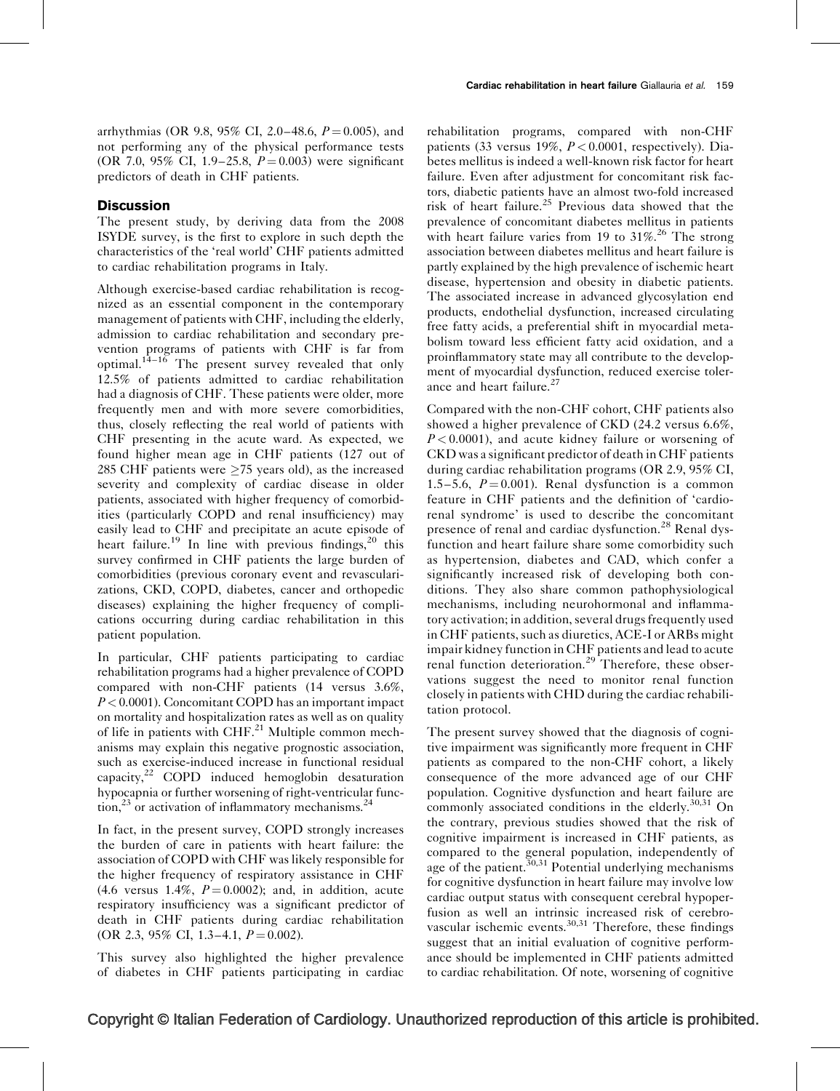arrhythmias (OR 9.8, 95% CI, 2.0–48.6,  $P = 0.005$ ), and not performing any of the physical performance tests (OR 7.0, 95% CI, 1.9–25.8,  $P = 0.003$ ) were significant predictors of death in CHF patients.

## **Discussion**

The present study, by deriving data from the 2008 ISYDE survey, is the first to explore in such depth the characteristics of the 'real world' CHF patients admitted to cardiac rehabilitation programs in Italy.

Although exercise-based cardiac rehabilitation is recognized as an essential component in the contemporary management of patients with CHF, including the elderly, admission to cardiac rehabilitation and secondary prevention programs of patients with CHF is far from optimal. $1^{14-16}$  The present survey revealed that only 12.5% of patients admitted to cardiac rehabilitation had a diagnosis of CHF. These patients were older, more frequently men and with more severe comorbidities, thus, closely reflecting the real world of patients with CHF presenting in the acute ward. As expected, we found higher mean age in CHF patients (127 out of 285 CHF patients were  $\geq$ 75 years old), as the increased severity and complexity of cardiac disease in older patients, associated with higher frequency of comorbidities (particularly COPD and renal insufficiency) may easily lead to CHF and precipitate an acute episode of heart failure.<sup>[19](#page-8-0)</sup> In line with previous findings,<sup>[20](#page-8-0)</sup> this survey confirmed in CHF patients the large burden of comorbidities (previous coronary event and revascularizations, CKD, COPD, diabetes, cancer and orthopedic diseases) explaining the higher frequency of complications occurring during cardiac rehabilitation in this patient population.

In particular, CHF patients participating to cardiac rehabilitation programs had a higher prevalence of COPD compared with non-CHF patients (14 versus 3.6%,  $P < 0.0001$ ). Concomitant COPD has an important impact on mortality and hospitalization rates as well as on quality of life in patients with CHF.<sup>21</sup> Multiple common mechanisms may explain this negative prognostic association, such as exercise-induced increase in functional residual capacity, $22$  COPD induced hemoglobin desaturation hypocapnia or further worsening of right-ventricular function, $^{23}$  $^{23}$  $^{23}$  or activation of inflammatory mechanisms.<sup>24</sup>

In fact, in the present survey, COPD strongly increases the burden of care in patients with heart failure: the association of COPD with CHF was likely responsible for the higher frequency of respiratory assistance in CHF (4.6 versus 1.4%,  $P = 0.0002$ ); and, in addition, acute respiratory insufficiency was a significant predictor of death in CHF patients during cardiac rehabilitation (OR 2.3, 95% CI, 1.3–4.1,  $P = 0.002$ ).

This survey also highlighted the higher prevalence of diabetes in CHF patients participating in cardiac

rehabilitation programs, compared with non-CHF patients (33 versus 19%,  $P < 0.0001$ , respectively). Diabetes mellitus is indeed a well-known risk factor for heart failure. Even after adjustment for concomitant risk factors, diabetic patients have an almost two-fold increased risk of heart failure.[25](#page-8-0) Previous data showed that the prevalence of concomitant diabetes mellitus in patients with heart failure varies from 19 to  $31\%$ <sup>[26](#page-8-0)</sup> The strong association between diabetes mellitus and heart failure is partly explained by the high prevalence of ischemic heart disease, hypertension and obesity in diabetic patients. The associated increase in advanced glycosylation end products, endothelial dysfunction, increased circulating free fatty acids, a preferential shift in myocardial metabolism toward less efficient fatty acid oxidation, and a proinflammatory state may all contribute to the development of myocardial dysfunction, reduced exercise toler-ance and heart failure.<sup>[27](#page-8-0)</sup>

Compared with the non-CHF cohort, CHF patients also showed a higher prevalence of CKD (24.2 versus 6.6%,  $P < 0.0001$ ), and acute kidney failure or worsening of CKD was a significant predictor of death in CHF patients during cardiac rehabilitation programs (OR 2.9, 95% CI, 1.5–5.6,  $P = 0.001$ ). Renal dysfunction is a common feature in CHF patients and the definition of 'cardiorenal syndrome' is used to describe the concomitant presence of renal and cardiac dysfunction.<sup>[28](#page-8-0)</sup> Renal dysfunction and heart failure share some comorbidity such as hypertension, diabetes and CAD, which confer a significantly increased risk of developing both conditions. They also share common pathophysiological mechanisms, including neurohormonal and inflammatory activation; in addition, several drugs frequently used in CHF patients, such as diuretics, ACE-I or ARBs might impair kidney function in CHF patients and lead to acute renal function deterioration.<sup>[29](#page-8-0)</sup> Therefore, these observations suggest the need to monitor renal function closely in patients with CHD during the cardiac rehabilitation protocol.

The present survey showed that the diagnosis of cognitive impairment was significantly more frequent in CHF patients as compared to the non-CHF cohort, a likely consequence of the more advanced age of our CHF population. Cognitive dysfunction and heart failure are commonly associated conditions in the elderly.<sup>[30,31](#page-8-0)</sup> On the contrary, previous studies showed that the risk of cognitive impairment is increased in CHF patients, as compared to the general population, independently of age of the patient.<sup>30,31</sup> Potential underlying mechanisms for cognitive dysfunction in heart failure may involve low cardiac output status with consequent cerebral hypoperfusion as well an intrinsic increased risk of cerebro-vascular ischemic events.<sup>[30,31](#page-8-0)</sup> Therefore, these findings suggest that an initial evaluation of cognitive performance should be implemented in CHF patients admitted to cardiac rehabilitation. Of note, worsening of cognitive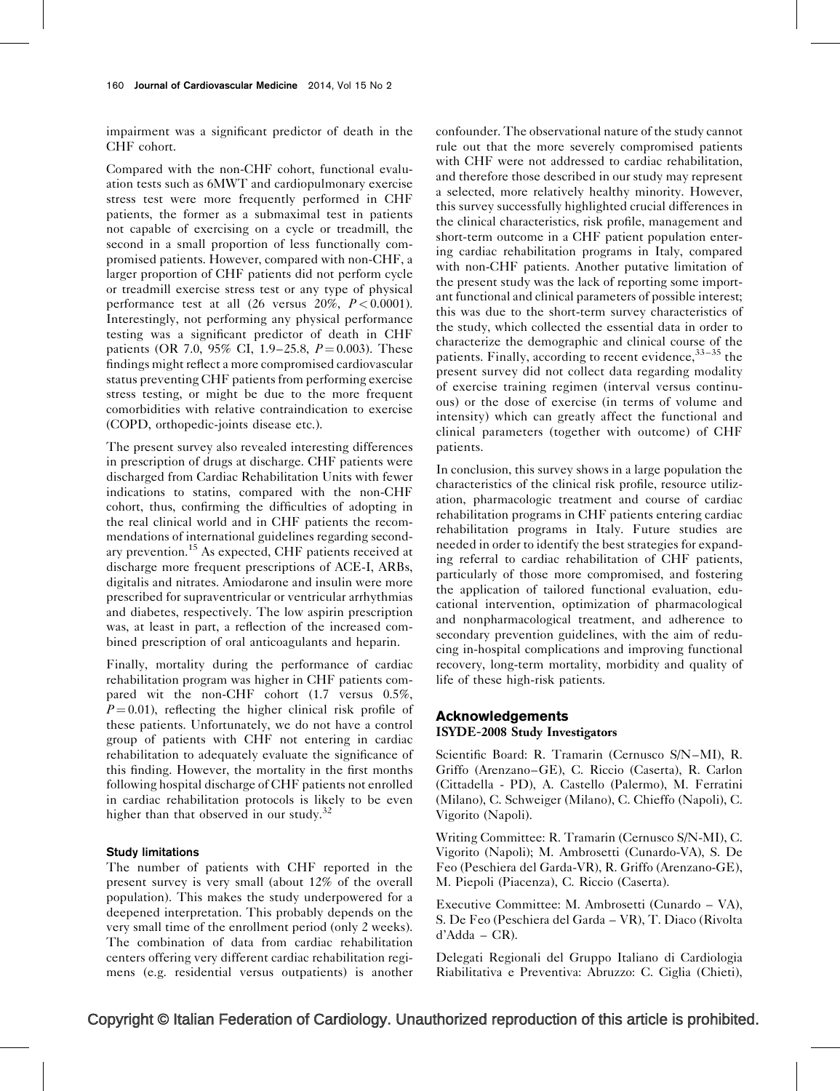impairment was a significant predictor of death in the CHF cohort.

Compared with the non-CHF cohort, functional evaluation tests such as 6MWT and cardiopulmonary exercise stress test were more frequently performed in CHF patients, the former as a submaximal test in patients not capable of exercising on a cycle or treadmill, the second in a small proportion of less functionally compromised patients. However, compared with non-CHF, a larger proportion of CHF patients did not perform cycle or treadmill exercise stress test or any type of physical performance test at all  $(26 \text{ versus } 20\%, P < 0.0001)$ . Interestingly, not performing any physical performance testing was a significant predictor of death in CHF patients (OR 7.0, 95% CI, 1.9–25.8,  $P = 0.003$ ). These findings might reflect a more compromised cardiovascular status preventing CHF patients from performing exercise stress testing, or might be due to the more frequent comorbidities with relative contraindication to exercise (COPD, orthopedic-joints disease etc.).

The present survey also revealed interesting differences in prescription of drugs at discharge. CHF patients were discharged from Cardiac Rehabilitation Units with fewer indications to statins, compared with the non-CHF cohort, thus, confirming the difficulties of adopting in the real clinical world and in CHF patients the recommendations of international guidelines regarding second-ary prevention.<sup>[15](#page-8-0)</sup> As expected, CHF patients received at discharge more frequent prescriptions of ACE-I, ARBs, digitalis and nitrates. Amiodarone and insulin were more prescribed for supraventricular or ventricular arrhythmias and diabetes, respectively. The low aspirin prescription was, at least in part, a reflection of the increased combined prescription of oral anticoagulants and heparin.

Finally, mortality during the performance of cardiac rehabilitation program was higher in CHF patients compared wit the non-CHF cohort (1.7 versus 0.5%,  $P = 0.01$ ), reflecting the higher clinical risk profile of these patients. Unfortunately, we do not have a control group of patients with CHF not entering in cardiac rehabilitation to adequately evaluate the significance of this finding. However, the mortality in the first months following hospital discharge of CHF patients not enrolled in cardiac rehabilitation protocols is likely to be even higher than that observed in our study. $32$ 

#### Study limitations

The number of patients with CHF reported in the present survey is very small (about 12% of the overall population). This makes the study underpowered for a deepened interpretation. This probably depends on the very small time of the enrollment period (only 2 weeks). The combination of data from cardiac rehabilitation centers offering very different cardiac rehabilitation regimens (e.g. residential versus outpatients) is another confounder. The observational nature of the study cannot rule out that the more severely compromised patients with CHF were not addressed to cardiac rehabilitation, and therefore those described in our study may represent a selected, more relatively healthy minority. However, this survey successfully highlighted crucial differences in the clinical characteristics, risk profile, management and short-term outcome in a CHF patient population entering cardiac rehabilitation programs in Italy, compared with non-CHF patients. Another putative limitation of the present study was the lack of reporting some important functional and clinical parameters of possible interest; this was due to the short-term survey characteristics of the study, which collected the essential data in order to characterize the demographic and clinical course of the patients. Finally, according to recent evidence,  $33-35$  the present survey did not collect data regarding modality of exercise training regimen (interval versus continuous) or the dose of exercise (in terms of volume and intensity) which can greatly affect the functional and clinical parameters (together with outcome) of CHF patients.

In conclusion, this survey shows in a large population the characteristics of the clinical risk profile, resource utilization, pharmacologic treatment and course of cardiac rehabilitation programs in CHF patients entering cardiac rehabilitation programs in Italy. Future studies are needed in order to identify the best strategies for expanding referral to cardiac rehabilitation of CHF patients, particularly of those more compromised, and fostering the application of tailored functional evaluation, educational intervention, optimization of pharmacological and nonpharmacological treatment, and adherence to secondary prevention guidelines, with the aim of reducing in-hospital complications and improving functional recovery, long-term mortality, morbidity and quality of life of these high-risk patients.

# Acknowledgements ISYDE-2008 Study Investigators

Scientific Board: R. Tramarin (Cernusco S/N–MI), R. Griffo (Arenzano–GE), C. Riccio (Caserta), R. Carlon (Cittadella - PD), A. Castello (Palermo), M. Ferratini (Milano), C. Schweiger (Milano), C. Chieffo (Napoli), C. Vigorito (Napoli).

Writing Committee: R. Tramarin (Cernusco S/N-MI), C. Vigorito (Napoli); M. Ambrosetti (Cunardo-VA), S. De Feo (Peschiera del Garda-VR), R. Griffo (Arenzano-GE), M. Piepoli (Piacenza), C. Riccio (Caserta).

Executive Committee: M. Ambrosetti (Cunardo – VA), S. De Feo (Peschiera del Garda – VR), T. Diaco (Rivolta d'Adda – CR).

Delegati Regionali del Gruppo Italiano di Cardiologia Riabilitativa e Preventiva: Abruzzo: C. Ciglia (Chieti),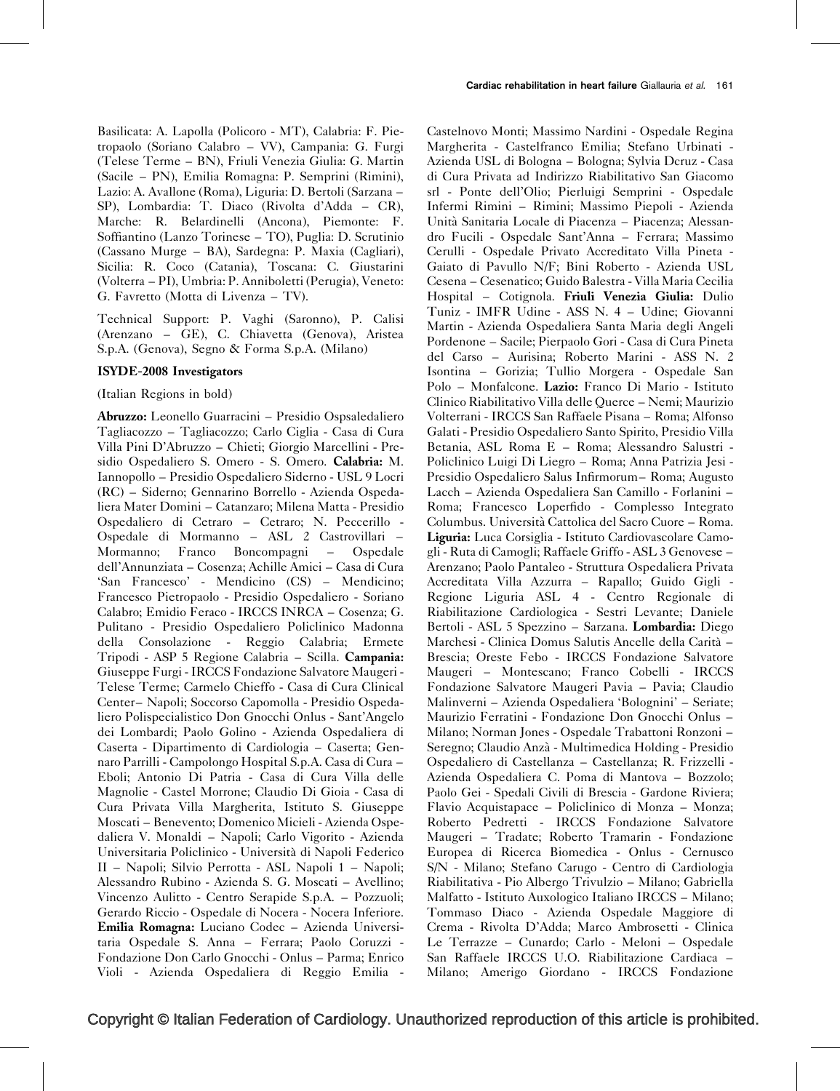Basilicata: A. Lapolla (Policoro - MT), Calabria: F. Pietropaolo (Soriano Calabro – VV), Campania: G. Furgi (Telese Terme – BN), Friuli Venezia Giulia: G. Martin (Sacile – PN), Emilia Romagna: P. Semprini (Rimini), Lazio: A. Avallone (Roma), Liguria: D. Bertoli (Sarzana – SP), Lombardia: T. Diaco (Rivolta d'Adda – CR), Marche: R. Belardinelli (Ancona), Piemonte: F. Soffiantino (Lanzo Torinese – TO), Puglia: D. Scrutinio (Cassano Murge – BA), Sardegna: P. Maxia (Cagliari), Sicilia: R. Coco (Catania), Toscana: C. Giustarini (Volterra – PI), Umbria: P. Anniboletti (Perugia), Veneto: G. Favretto (Motta di Livenza – TV).

Technical Support: P. Vaghi (Saronno), P. Calisi (Arenzano – GE), C. Chiavetta (Genova), Aristea S.p.A. (Genova), Segno & Forma S.p.A. (Milano)

## ISYDE-2008 Investigators

(Italian Regions in bold)

Abruzzo: Leonello Guarracini – Presidio Ospsaledaliero Tagliacozzo – Tagliacozzo; Carlo Ciglia - Casa di Cura Villa Pini D'Abruzzo – Chieti; Giorgio Marcellini - Presidio Ospedaliero S. Omero - S. Omero. Calabria: M. Iannopollo – Presidio Ospedaliero Siderno - USL 9 Locri (RC) – Siderno; Gennarino Borrello - Azienda Ospedaliera Mater Domini – Catanzaro; Milena Matta - Presidio Ospedaliero di Cetraro – Cetraro; N. Peccerillo - Ospedale di Mormanno – ASL 2 Castrovillari – Mormanno; Franco Boncompagni – Ospedale dell'Annunziata – Cosenza; Achille Amici – Casa di Cura 'San Francesco' - Mendicino (CS) – Mendicino; Francesco Pietropaolo - Presidio Ospedaliero - Soriano Calabro; Emidio Feraco - IRCCS INRCA – Cosenza; G. Pulitano - Presidio Ospedaliero Policlinico Madonna della Consolazione - Reggio Calabria; Ermete Tripodi - ASP 5 Regione Calabria – Scilla. Campania: Giuseppe Furgi - IRCCS Fondazione Salvatore Maugeri - Telese Terme; Carmelo Chieffo - Casa di Cura Clinical Center– Napoli; Soccorso Capomolla - Presidio Ospedaliero Polispecialistico Don Gnocchi Onlus - Sant'Angelo dei Lombardi; Paolo Golino - Azienda Ospedaliera di Caserta - Dipartimento di Cardiologia – Caserta; Gennaro Parrilli - Campolongo Hospital S.p.A. Casa di Cura – Eboli; Antonio Di Patria - Casa di Cura Villa delle Magnolie - Castel Morrone; Claudio Di Gioia - Casa di Cura Privata Villa Margherita, Istituto S. Giuseppe Moscati – Benevento; Domenico Micieli - Azienda Ospedaliera V. Monaldi – Napoli; Carlo Vigorito - Azienda Universitaria Policlinico - Universita` di Napoli Federico II – Napoli; Silvio Perrotta - ASL Napoli 1 – Napoli; Alessandro Rubino - Azienda S. G. Moscati – Avellino; Vincenzo Aulitto - Centro Serapide S.p.A. – Pozzuoli; Gerardo Riccio - Ospedale di Nocera - Nocera Inferiore. Emilia Romagna: Luciano Codec – Azienda Universitaria Ospedale S. Anna – Ferrara; Paolo Coruzzi - Fondazione Don Carlo Gnocchi - Onlus – Parma; Enrico Violi - Azienda Ospedaliera di Reggio Emilia -

Castelnovo Monti; Massimo Nardini - Ospedale Regina Margherita - Castelfranco Emilia; Stefano Urbinati - Azienda USL di Bologna – Bologna; Sylvia Dcruz - Casa di Cura Privata ad Indirizzo Riabilitativo San Giacomo srl - Ponte dell'Olio; Pierluigi Semprini - Ospedale Infermi Rimini – Rimini; Massimo Piepoli - Azienda Unita` Sanitaria Locale di Piacenza – Piacenza; Alessandro Fucili - Ospedale Sant'Anna – Ferrara; Massimo Cerulli - Ospedale Privato Accreditato Villa Pineta - Gaiato di Pavullo N/F; Bini Roberto - Azienda USL Cesena – Cesenatico; Guido Balestra - Villa Maria Cecilia Hospital - Cotignola. Friuli Venezia Giulia: Dulio Tuniz - IMFR Udine - ASS N. 4 – Udine; Giovanni Martin - Azienda Ospedaliera Santa Maria degli Angeli Pordenone – Sacile; Pierpaolo Gori - Casa di Cura Pineta del Carso – Aurisina; Roberto Marini - ASS N. 2 Isontina – Gorizia; Tullio Morgera - Ospedale San Polo – Monfalcone. Lazio: Franco Di Mario - Istituto Clinico Riabilitativo Villa delle Querce – Nemi; Maurizio Volterrani - IRCCS San Raffaele Pisana – Roma; Alfonso Galati - Presidio Ospedaliero Santo Spirito, Presidio Villa Betania, ASL Roma E – Roma; Alessandro Salustri - Policlinico Luigi Di Liegro – Roma; Anna Patrizia Jesi - Presidio Ospedaliero Salus Infirmorum– Roma; Augusto Lacch – Azienda Ospedaliera San Camillo - Forlanini – Roma; Francesco Loperfido - Complesso Integrato Columbus. Universita` Cattolica del Sacro Cuore – Roma. Liguria: Luca Corsiglia - Istituto Cardiovascolare Camogli - Ruta di Camogli; Raffaele Griffo - ASL 3 Genovese – Arenzano; Paolo Pantaleo - Struttura Ospedaliera Privata Accreditata Villa Azzurra – Rapallo; Guido Gigli - Regione Liguria ASL 4 - Centro Regionale di Riabilitazione Cardiologica - Sestri Levante; Daniele Bertoli - ASL 5 Spezzino – Sarzana. Lombardia: Diego Marchesi - Clinica Domus Salutis Ancelle della Carita` – Brescia; Oreste Febo - IRCCS Fondazione Salvatore Maugeri – Montescano; Franco Cobelli - IRCCS Fondazione Salvatore Maugeri Pavia – Pavia; Claudio Malinverni – Azienda Ospedaliera 'Bolognini' – Seriate; Maurizio Ferratini - Fondazione Don Gnocchi Onlus – Milano; Norman Jones - Ospedale Trabattoni Ronzoni – Seregno; Claudio Anza` - Multimedica Holding - Presidio Ospedaliero di Castellanza – Castellanza; R. Frizzelli - Azienda Ospedaliera C. Poma di Mantova – Bozzolo; Paolo Gei - Spedali Civili di Brescia - Gardone Riviera; Flavio Acquistapace – Policlinico di Monza – Monza; Roberto Pedretti - IRCCS Fondazione Salvatore Maugeri – Tradate; Roberto Tramarin - Fondazione Europea di Ricerca Biomedica - Onlus - Cernusco S/N - Milano; Stefano Carugo - Centro di Cardiologia Riabilitativa - Pio Albergo Trivulzio – Milano; Gabriella Malfatto - Istituto Auxologico Italiano IRCCS – Milano; Tommaso Diaco - Azienda Ospedale Maggiore di Crema - Rivolta D'Adda; Marco Ambrosetti - Clinica Le Terrazze – Cunardo; Carlo - Meloni – Ospedale San Raffaele IRCCS U.O. Riabilitazione Cardiaca – Milano; Amerigo Giordano - IRCCS Fondazione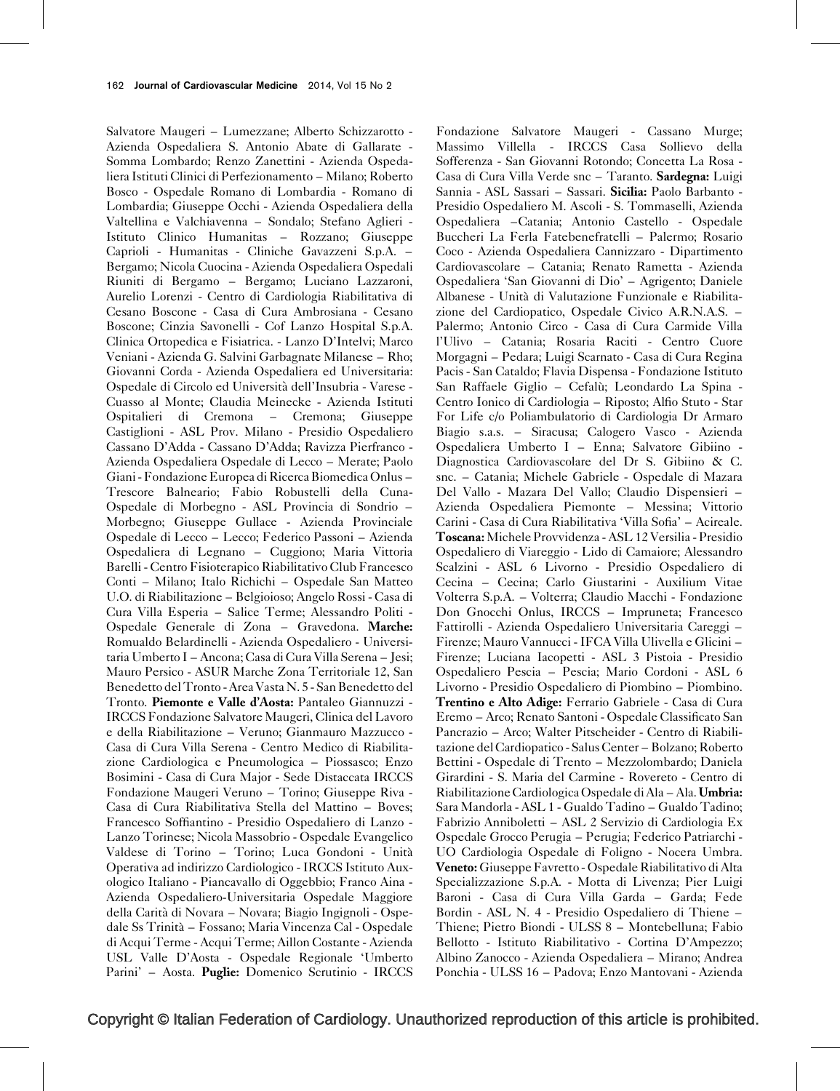Salvatore Maugeri – Lumezzane; Alberto Schizzarotto - Azienda Ospedaliera S. Antonio Abate di Gallarate - Somma Lombardo; Renzo Zanettini - Azienda Ospedaliera Istituti Clinici di Perfezionamento – Milano; Roberto Bosco - Ospedale Romano di Lombardia - Romano di Lombardia; Giuseppe Occhi - Azienda Ospedaliera della Valtellina e Valchiavenna – Sondalo; Stefano Aglieri - Istituto Clinico Humanitas – Rozzano; Giuseppe Caprioli - Humanitas - Cliniche Gavazzeni S.p.A. – Bergamo; Nicola Cuocina - Azienda Ospedaliera Ospedali Riuniti di Bergamo – Bergamo; Luciano Lazzaroni, Aurelio Lorenzi - Centro di Cardiologia Riabilitativa di Cesano Boscone - Casa di Cura Ambrosiana - Cesano Boscone; Cinzia Savonelli - Cof Lanzo Hospital S.p.A. Clinica Ortopedica e Fisiatrica. - Lanzo D'Intelvi; Marco Veniani - Azienda G. Salvini Garbagnate Milanese – Rho; Giovanni Corda - Azienda Ospedaliera ed Universitaria: Ospedale di Circolo ed Universita` dell'Insubria - Varese - Cuasso al Monte; Claudia Meinecke - Azienda Istituti Ospitalieri di Cremona – Cremona; Giuseppe Castiglioni - ASL Prov. Milano - Presidio Ospedaliero Cassano D'Adda - Cassano D'Adda; Ravizza Pierfranco - Azienda Ospedaliera Ospedale di Lecco – Merate; Paolo Giani - Fondazione Europea di Ricerca Biomedica Onlus – Trescore Balneario; Fabio Robustelli della Cuna-Ospedale di Morbegno - ASL Provincia di Sondrio – Morbegno; Giuseppe Gullace - Azienda Provinciale Ospedale di Lecco – Lecco; Federico Passoni – Azienda Ospedaliera di Legnano – Cuggiono; Maria Vittoria Barelli - Centro Fisioterapico Riabilitativo Club Francesco Conti – Milano; Italo Richichi – Ospedale San Matteo U.O. di Riabilitazione – Belgioioso; Angelo Rossi - Casa di Cura Villa Esperia – Salice Terme; Alessandro Politi - Ospedale Generale di Zona – Gravedona. Marche: Romualdo Belardinelli - Azienda Ospedaliero - Universitaria Umberto I – Ancona; Casa di Cura Villa Serena – Jesi; Mauro Persico - ASUR Marche Zona Territoriale 12, San Benedetto del Tronto - Area Vasta N. 5 - San Benedetto del Tronto. Piemonte e Valle d'Aosta: Pantaleo Giannuzzi - IRCCS Fondazione Salvatore Maugeri, Clinica del Lavoro e della Riabilitazione – Veruno; Gianmauro Mazzucco - Casa di Cura Villa Serena - Centro Medico di Riabilitazione Cardiologica e Pneumologica – Piossasco; Enzo Bosimini - Casa di Cura Major - Sede Distaccata IRCCS Fondazione Maugeri Veruno – Torino; Giuseppe Riva - Casa di Cura Riabilitativa Stella del Mattino – Boves; Francesco Soffiantino - Presidio Ospedaliero di Lanzo - Lanzo Torinese; Nicola Massobrio - Ospedale Evangelico Valdese di Torino – Torino; Luca Gondoni - Unita` Operativa ad indirizzo Cardiologico - IRCCS Istituto Auxologico Italiano - Piancavallo di Oggebbio; Franco Aina - Azienda Ospedaliero-Universitaria Ospedale Maggiore della Carita` di Novara – Novara; Biagio Ingignoli - Ospedale Ss Trinita` – Fossano; Maria Vincenza Cal - Ospedale di Acqui Terme - Acqui Terme; Aillon Costante - Azienda USL Valle D'Aosta - Ospedale Regionale 'Umberto Parini' - Aosta. Puglie: Domenico Scrutinio - IRCCS

Fondazione Salvatore Maugeri - Cassano Murge; Massimo Villella - IRCCS Casa Sollievo della Sofferenza - San Giovanni Rotondo; Concetta La Rosa - Casa di Cura Villa Verde snc – Taranto. Sardegna: Luigi Sannia - ASL Sassari – Sassari. Sicilia: Paolo Barbanto - Presidio Ospedaliero M. Ascoli - S. Tommaselli, Azienda Ospedaliera –Catania; Antonio Castello - Ospedale Buccheri La Ferla Fatebenefratelli – Palermo; Rosario Coco - Azienda Ospedaliera Cannizzaro - Dipartimento Cardiovascolare – Catania; Renato Rametta - Azienda Ospedaliera 'San Giovanni di Dio' – Agrigento; Daniele Albanese - Unita` di Valutazione Funzionale e Riabilitazione del Cardiopatico, Ospedale Civico A.R.N.A.S. – Palermo; Antonio Circo - Casa di Cura Carmide Villa l'Ulivo – Catania; Rosaria Raciti - Centro Cuore Morgagni – Pedara; Luigi Scarnato - Casa di Cura Regina Pacis - San Cataldo; Flavia Dispensa - Fondazione Istituto San Raffaele Giglio - Cefalù; Leondardo La Spina -Centro Ionico di Cardiologia – Riposto; Alfio Stuto - Star For Life c/o Poliambulatorio di Cardiologia Dr Armaro Biagio s.a.s. – Siracusa; Calogero Vasco - Azienda Ospedaliera Umberto I – Enna; Salvatore Gibiino - Diagnostica Cardiovascolare del Dr S. Gibiino & C. snc. – Catania; Michele Gabriele - Ospedale di Mazara Del Vallo - Mazara Del Vallo; Claudio Dispensieri – Azienda Ospedaliera Piemonte – Messina; Vittorio Carini - Casa di Cura Riabilitativa 'Villa Sofia' – Acireale. Toscana: Michele Provvidenza - ASL 12 Versilia - Presidio Ospedaliero di Viareggio - Lido di Camaiore; Alessandro Scalzini - ASL 6 Livorno - Presidio Ospedaliero di Cecina – Cecina; Carlo Giustarini - Auxilium Vitae Volterra S.p.A. – Volterra; Claudio Macchi - Fondazione Don Gnocchi Onlus, IRCCS – Impruneta; Francesco Fattirolli - Azienda Ospedaliero Universitaria Careggi – Firenze; Mauro Vannucci - IFCA Villa Ulivella e Glicini – Firenze; Luciana Iacopetti - ASL 3 Pistoia - Presidio Ospedaliero Pescia – Pescia; Mario Cordoni - ASL 6 Livorno - Presidio Ospedaliero di Piombino – Piombino. Trentino e Alto Adige: Ferrario Gabriele - Casa di Cura Eremo – Arco; Renato Santoni - Ospedale Classificato San Pancrazio – Arco; Walter Pitscheider - Centro di Riabilitazione del Cardiopatico - Salus Center – Bolzano; Roberto Bettini - Ospedale di Trento – Mezzolombardo; Daniela Girardini - S. Maria del Carmine - Rovereto - Centro di Riabilitazione Cardiologica Ospedale di Ala – Ala. **Umbria:** Sara Mandorla - ASL 1 - Gualdo Tadino – Gualdo Tadino; Fabrizio Anniboletti – ASL 2 Servizio di Cardiologia Ex Ospedale Grocco Perugia – Perugia; Federico Patriarchi - UO Cardiologia Ospedale di Foligno - Nocera Umbra. Veneto:Giuseppe Favretto - Ospedale Riabilitativo di Alta Specializzazione S.p.A. - Motta di Livenza; Pier Luigi Baroni - Casa di Cura Villa Garda – Garda; Fede Bordin - ASL N. 4 - Presidio Ospedaliero di Thiene – Thiene; Pietro Biondi - ULSS 8 – Montebelluna; Fabio Bellotto - Istituto Riabilitativo - Cortina D'Ampezzo; Albino Zanocco - Azienda Ospedaliera – Mirano; Andrea Ponchia - ULSS 16 – Padova; Enzo Mantovani - Azienda